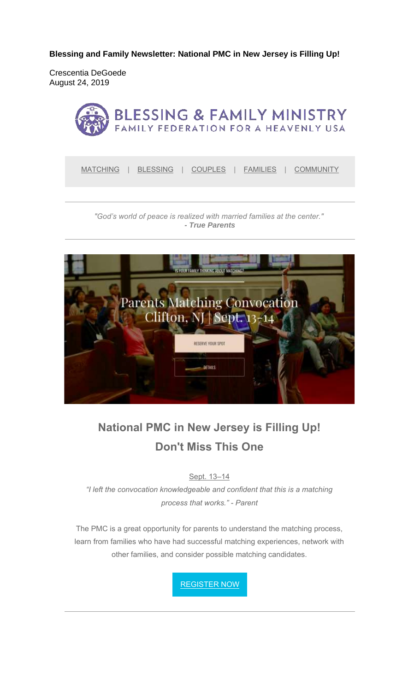**Blessing and Family Newsletter: National PMC in New Jersey is Filling Up!** 

Crescentia DeGoede August 24, 2019



*"God's world of peace is realized with married families at the center." - True Parents*



# **National PMC in New Jersey is Filling Up! Don't Miss This One**

Sept. 13–14

*"I left the convocation knowledgeable and confident that this is a matching process that works." - Parent*

The PMC is a great opportunity for parents to understand the matching process, learn from families who have had successful matching experiences, network with other families, and consider possible matching candidates.

REGISTER NOW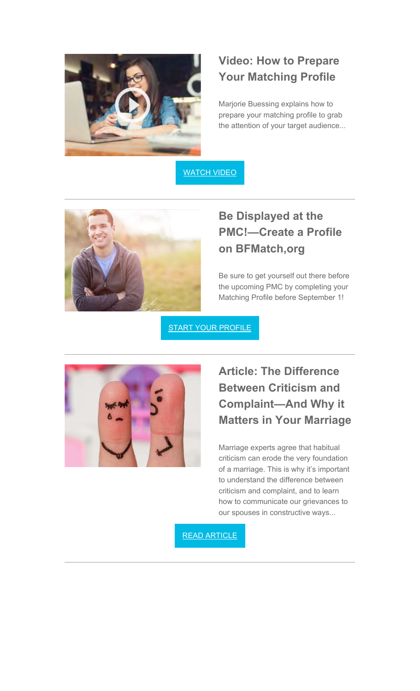

#### **Video: How to Prepare Your Matching Profile**

Marjorie Buessing explains how to prepare your matching profile to grab the attention of your target audience...

WATCH VIDEO



## **Be Displayed at the PMC!—Create a Profile on BFMatch,org**

Be sure to get yourself out there before the upcoming PMC by completing your Matching Profile before September 1!

**START YOUR PROFILE** 



### **Article: The Difference Between Criticism and Complaint—And Why it Matters in Your Marriage**

Marriage experts agree that habitual criticism can erode the very foundation of a marriage. This is why it's important to understand the difference between criticism and complaint, and to learn how to communicate our grievances to our spouses in constructive ways...

READ ARTICLE